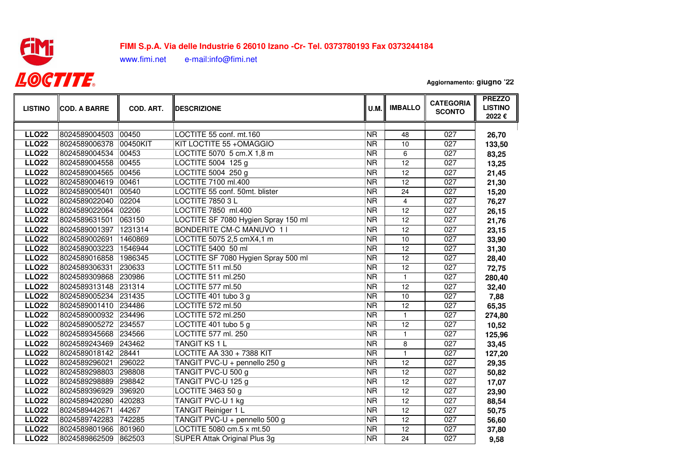

## **FIMI S.p.A. Via delle Industrie 6 26010 Izano -Cr- Tel. 0373780193 Fax 037324418488,000,000,000,000,000,000,000**

www.fimi.net e-mail:info@fimi.net

**Aggiornamento: giugno '22**

| <b>LISTINO</b> | <b>COD. A BARRE</b>   | COD. ART. | <b>DESCRIZIONE</b>                  | <b>U.M.</b>              | <b>IMBALLO</b>  | <b>CATEGORIA</b><br><b>SCONTO</b> | <b>PREZZO</b><br><b>LISTINO</b><br>2022€ |
|----------------|-----------------------|-----------|-------------------------------------|--------------------------|-----------------|-----------------------------------|------------------------------------------|
|                |                       |           |                                     |                          |                 |                                   |                                          |
| <b>LLO22</b>   | 8024589004503         | 00450     | LOCTITE 55 conf. mt.160             | <b>NR</b>                | 48              | 027                               | 26,70                                    |
| <b>LLO22</b>   | 8024589006378         | 00450KIT  | KIT LOCTITE 55 + OMAGGIO            | <b>NR</b>                | 10              | $\overline{027}$                  | 133,50                                   |
| <b>LLO22</b>   | 8024589004534         | 00453     | LOCTITE 5070 5 cm.X 1,8 m           | <b>NR</b>                | 6               | 027                               | 83,25                                    |
| <b>LLO22</b>   | 8024589004558         | 00455     | LOCTITE 5004 125 g                  | $\overline{\text{NR}}$   | 12              | 027                               | 13,25                                    |
| <b>LLO22</b>   | 8024589004565         | 00456     | LOCTITE 5004 250 g                  | <b>NR</b>                | 12              | 027                               | 21,45                                    |
| <b>LLO22</b>   | 8024589004619         | 00461     | LOCTITE 7100 ml.400                 | $\overline{\text{NR}}$   | $\overline{12}$ | 027                               | 21,30                                    |
| <b>LLO22</b>   | 8024589005401         | 00540     | LOCTITE 55 conf. 50mt. blister      | $\overline{\text{NR}}$   | 24              | 027                               | 15,20                                    |
| <b>LLO22</b>   | 8024589022040         | 02204     | <b>LOCTITE 7850 3 L</b>             | $\overline{\text{NR}}$   | $\overline{4}$  | 027                               | 76,27                                    |
| <b>LLO22</b>   | 8024589022064 02206   |           | LOCTITE 7850 ml.400                 | $\overline{\mathsf{NR}}$ | 12              | 027                               | 26,15                                    |
| <b>LLO22</b>   | 8024589631501         | 063150    | LOCTITE SF 7080 Hygien Spray 150 ml | $\overline{\mathsf{NR}}$ | $\overline{12}$ | 027                               | 21,76                                    |
| <b>LLO22</b>   | 8024589001397         | 1231314   | <b>BONDERITE CM-C MANUVO 11</b>     | $\overline{\text{NR}}$   | 12              | 027                               | 23,15                                    |
| <b>LLO22</b>   | 8024589002691         | 1460869   | LOCTITE 5075 2,5 cmX4,1 m           | $\overline{\mathsf{NR}}$ | 10              | 027                               | 33,90                                    |
| <b>LLO22</b>   | 8024589003223 1546944 |           | LOCTITE 5400 50 ml                  | $\overline{\text{NR}}$   | 12              | 027                               | 31,30                                    |
| <b>LLO22</b>   | 8024589016858 1986345 |           | LOCTITE SF 7080 Hygien Spray 500 ml | $\overline{\text{NR}}$   | 12              | 027                               | 28,40                                    |
| <b>LLO22</b>   | 8024589306331         | 230633    | LOCTITE 511 ml.50                   | $\overline{\text{NR}}$   | $\overline{12}$ | 027                               | 72,75                                    |
| <b>LLO22</b>   | 8024589309868 230986  |           | LOCTITE 511 ml.250                  | NR.                      | $\mathbf{1}$    | $\overline{027}$                  | 280,40                                   |
| <b>LLO22</b>   | 8024589313148 231314  |           | LOCTITE 577 ml.50                   | $\overline{\text{NR}}$   | 12              | 027                               | 32,40                                    |
| <b>LLO22</b>   | 8024589005234 231435  |           | LOCTITE 401 tubo 3 g                | <b>NR</b>                | 10              | $\overline{027}$                  | 7,88                                     |
| <b>LLO22</b>   | 8024589001410 234486  |           | LOCTITE 572 ml.50                   | <b>NR</b>                | $\overline{12}$ | 027                               | 65,35                                    |
| <b>LLO22</b>   | 8024589000932 234496  |           | LOCTITE 572 ml.250                  | $\overline{\text{NR}}$   | $\mathbf{1}$    | 027                               | 274,80                                   |
| <b>LLO22</b>   | 8024589005272 234557  |           | LOCTITE 401 tubo 5 g                | <b>NR</b>                | $\overline{12}$ | 027                               | 10,52                                    |
| <b>LLO22</b>   | 8024589345668 234566  |           | LOCTITE 577 ml. 250                 | $\overline{\text{NR}}$   | $\mathbf{1}$    | 027                               | 125,96                                   |
| <b>LLO22</b>   | 8024589243469 243462  |           | <b>TANGIT KS 1 L</b>                | $\overline{\text{NR}}$   | 8               | 027                               | 33,45                                    |
| <b>LLO22</b>   | 8024589018142 28441   |           | <b>LOCTITE AA 330 + 7388 KIT</b>    | <b>NR</b>                | $\mathbf{1}$    | 027                               | 127,20                                   |
| <b>LLO22</b>   | 8024589296021         | 296022    | TANGIT PVC-U + pennello 250 g       | <b>NR</b>                | 12              | 027                               | 29,35                                    |
| <b>LLO22</b>   | 8024589298803         | 298808    | TANGIT PVC-U 500 g                  | <b>NR</b>                | 12              | 027                               | 50,82                                    |
| <b>LLO22</b>   | 8024589298889         | 298842    | TANGIT PVC-U 125 g                  | <b>NR</b>                | 12              | 027                               | 17,07                                    |
| <b>LLO22</b>   | 8024589396929         | 396920    | LOCTITE 3463 50 g                   | <b>NR</b>                | 12              | 027                               | 23,90                                    |
| <b>LLO22</b>   | 8024589420280         | 420283    | TANGIT PVC-U 1 kg                   | <b>NR</b>                | $\overline{12}$ | 027                               | 88,54                                    |
| <b>LLO22</b>   | 8024589442671         | 44267     | <b>TANGIT Reiniger 1 L</b>          | <b>NR</b>                | 12              | 027                               | 50,75                                    |
| <b>LLO22</b>   | 8024589742283         | 742285    | TANGIT PVC-U + pennello 500 g       | <b>NR</b>                | $\overline{12}$ | 027                               | 56,60                                    |
| <b>LLO22</b>   | 8024589801966         | 801960    | LOCTITE 5080 cm.5 x mt.50           | <b>NR</b>                | 12              | $\overline{027}$                  | 37,80                                    |
| <b>LLO22</b>   | 8024589862509 862503  |           | <b>SUPER Attak Original Plus 3g</b> | <b>NR</b>                | $\overline{24}$ | 027                               | 9,58                                     |